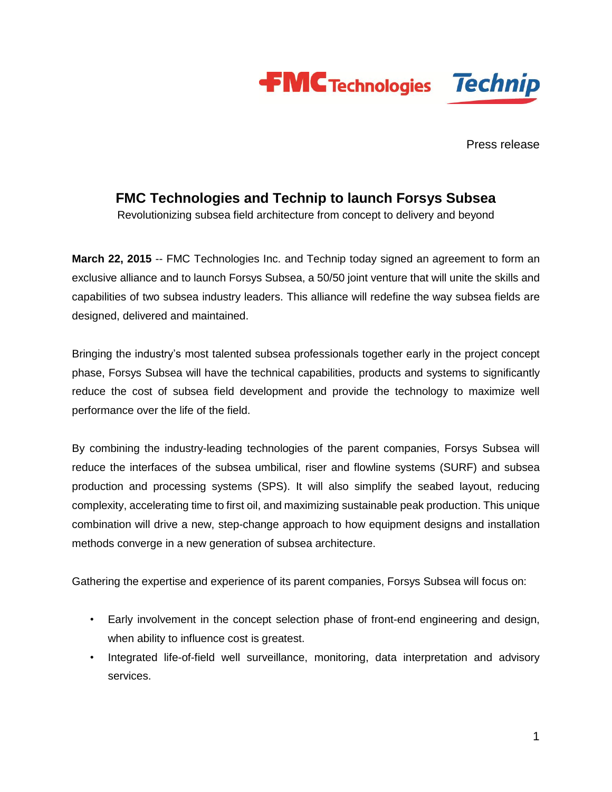

Press release

### **FMC Technologies and Technip to launch Forsys Subsea**

Revolutionizing subsea field architecture from concept to delivery and beyond

**March 22, 2015** -- FMC Technologies Inc. and Technip today signed an agreement to form an exclusive alliance and to launch Forsys Subsea, a 50/50 joint venture that will unite the skills and capabilities of two subsea industry leaders. This alliance will redefine the way subsea fields are designed, delivered and maintained.

Bringing the industry's most talented subsea professionals together early in the project concept phase, Forsys Subsea will have the technical capabilities, products and systems to significantly reduce the cost of subsea field development and provide the technology to maximize well performance over the life of the field.

By combining the industry-leading technologies of the parent companies, Forsys Subsea will reduce the interfaces of the subsea umbilical, riser and flowline systems (SURF) and subsea production and processing systems (SPS). It will also simplify the seabed layout, reducing complexity, accelerating time to first oil, and maximizing sustainable peak production. This unique combination will drive a new, step-change approach to how equipment designs and installation methods converge in a new generation of subsea architecture.

Gathering the expertise and experience of its parent companies, Forsys Subsea will focus on:

- Early involvement in the concept selection phase of front-end engineering and design, when ability to influence cost is greatest.
- Integrated life-of-field well surveillance, monitoring, data interpretation and advisory services.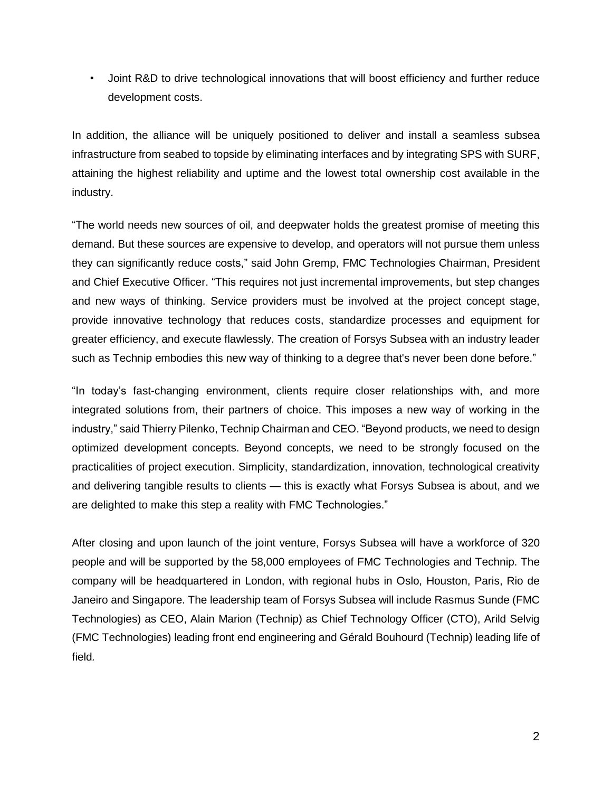• Joint R&D to drive technological innovations that will boost efficiency and further reduce development costs.

In addition, the alliance will be uniquely positioned to deliver and install a seamless subsea infrastructure from seabed to topside by eliminating interfaces and by integrating SPS with SURF, attaining the highest reliability and uptime and the lowest total ownership cost available in the industry.

"The world needs new sources of oil, and deepwater holds the greatest promise of meeting this demand. But these sources are expensive to develop, and operators will not pursue them unless they can significantly reduce costs," said John Gremp, FMC Technologies Chairman, President and Chief Executive Officer. "This requires not just incremental improvements, but step changes and new ways of thinking. Service providers must be involved at the project concept stage, provide innovative technology that reduces costs, standardize processes and equipment for greater efficiency, and execute flawlessly. The creation of Forsys Subsea with an industry leader such as Technip embodies this new way of thinking to a degree that's never been done before."

"In today's fast-changing environment, clients require closer relationships with, and more integrated solutions from, their partners of choice. This imposes a new way of working in the industry," said Thierry Pilenko, Technip Chairman and CEO. "Beyond products, we need to design optimized development concepts. Beyond concepts, we need to be strongly focused on the practicalities of project execution. Simplicity, standardization, innovation, technological creativity and delivering tangible results to clients — this is exactly what Forsys Subsea is about, and we are delighted to make this step a reality with FMC Technologies."

After closing and upon launch of the joint venture, Forsys Subsea will have a workforce of 320 people and will be supported by the 58,000 employees of FMC Technologies and Technip. The company will be headquartered in London, with regional hubs in Oslo, Houston, Paris, Rio de Janeiro and Singapore. The leadership team of Forsys Subsea will include Rasmus Sunde (FMC Technologies) as CEO, Alain Marion (Technip) as Chief Technology Officer (CTO), Arild Selvig (FMC Technologies) leading front end engineering and Gérald Bouhourd (Technip) leading life of field*.*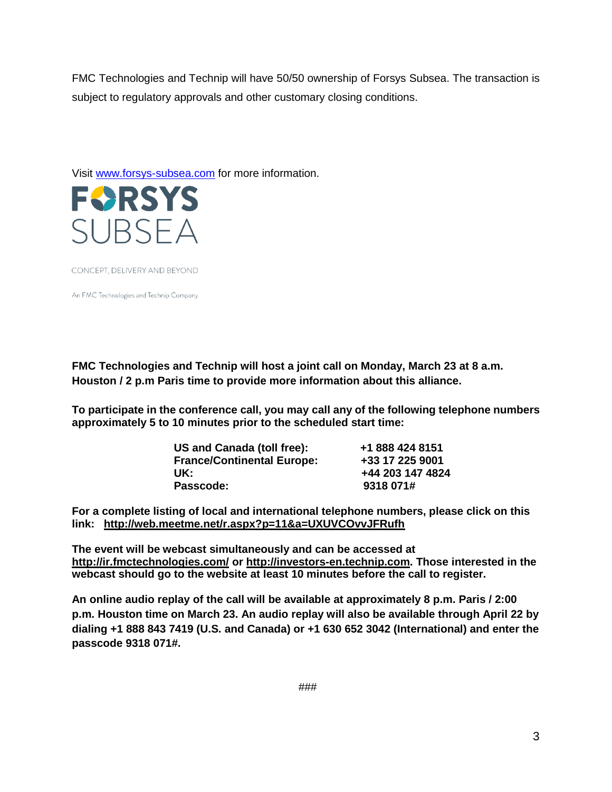FMC Technologies and Technip will have 50/50 ownership of Forsys Subsea. The transaction is subject to regulatory approvals and other customary closing conditions.

Visit [www.forsys-subsea.com](http://www.forsys-subsea.com/) for more information.



CONCEPT, DELIVERY AND BEYOND

An FMC Technologies and Technip Company

**FMC Technologies and Technip will host a joint call on Monday, March 23 at 8 a.m. Houston / 2 p.m Paris time to provide more information about this alliance.**

**To participate in the conference call, you may call any of the following telephone numbers approximately 5 to 10 minutes prior to the scheduled start time:**

| US and Canada (toll free):        | +1 888 424 8151  |
|-----------------------------------|------------------|
| <b>France/Continental Europe:</b> | +33 17 225 9001  |
| UK:                               | +44 203 147 4824 |
| Passcode:                         | 9318 071#        |

**For a complete listing of local and international telephone numbers, please click on this link: <http://web.meetme.net/r.aspx?p=11&a=UXUVCOvvJFRufh>**

**The event will be webcast simultaneously and can be accessed at <http://ir.fmctechnologies.com/> or [http://investors-en.technip.com.](https://urldefense.proofpoint.com/v2/url?u=http-3A__investors-2Den.technip.com_&d=AwMFAw&c=r_B2dqKkHczsuXPCSs5DOw&r=Lw0o-yUJD0ZX7PoUtw_WUWVNLvlJDGWU8umi42NFMec&m=xHoHSKA3jr_JR9u_qiu3Ch6L_WIWgCUwJ4Wuky6pPV4&s=BeLRarPRz_r1e1ZClDBPan4VBKUOXOU_epKGVhkO0Sk&e=) Those interested in the webcast should go to the website at least 10 minutes before the call to register.**

**An online audio replay of the call will be available at approximately 8 p.m. Paris / 2:00 p.m. Houston time on March 23. An audio replay will also be available through April 22 by dialing +1 888 843 7419 (U.S. and Canada) or +1 630 652 3042 (International) and enter the passcode 9318 071#.**